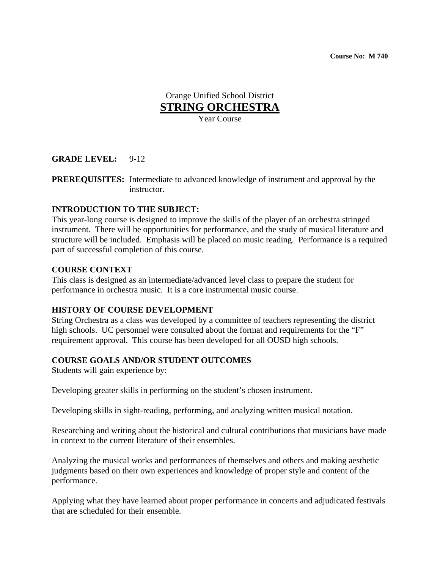**Course No: M 740** 

Orange Unified School District **STRING ORCHESTRA**

Year Course

## **GRADE LEVEL:** 9-12

**PREREQUISITES:** Intermediate to advanced knowledge of instrument and approval by the instructor.

## **INTRODUCTION TO THE SUBJECT:**

This year-long course is designed to improve the skills of the player of an orchestra stringed instrument. There will be opportunities for performance, and the study of musical literature and structure will be included. Emphasis will be placed on music reading. Performance is a required part of successful completion of this course.

#### **COURSE CONTEXT**

This class is designed as an intermediate/advanced level class to prepare the student for performance in orchestra music. It is a core instrumental music course.

## **HISTORY OF COURSE DEVELOPMENT**

String Orchestra as a class was developed by a committee of teachers representing the district high schools. UC personnel were consulted about the format and requirements for the "F" requirement approval. This course has been developed for all OUSD high schools.

## **COURSE GOALS AND/OR STUDENT OUTCOMES**

Students will gain experience by:

Developing greater skills in performing on the student's chosen instrument.

Developing skills in sight-reading, performing, and analyzing written musical notation.

Researching and writing about the historical and cultural contributions that musicians have made in context to the current literature of their ensembles.

Analyzing the musical works and performances of themselves and others and making aesthetic judgments based on their own experiences and knowledge of proper style and content of the performance.

Applying what they have learned about proper performance in concerts and adjudicated festivals that are scheduled for their ensemble.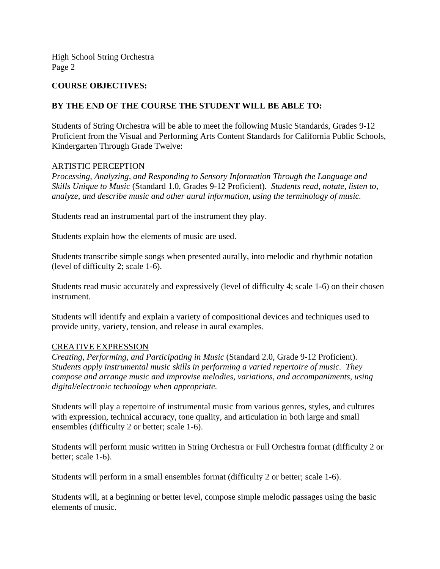## **COURSE OBJECTIVES:**

## **BY THE END OF THE COURSE THE STUDENT WILL BE ABLE TO:**

Students of String Orchestra will be able to meet the following Music Standards, Grades 9-12 Proficient from the Visual and Performing Arts Content Standards for California Public Schools, Kindergarten Through Grade Twelve:

#### ARTISTIC PERCEPTION

*Processing, Analyzing, and Responding to Sensory Information Through the Language and Skills Unique to Music* (Standard 1.0, Grades 9-12 Proficient). *Students read, notate, listen to, analyze, and describe music and other aural information, using the terminology of music.* 

Students read an instrumental part of the instrument they play.

Students explain how the elements of music are used.

Students transcribe simple songs when presented aurally, into melodic and rhythmic notation (level of difficulty 2; scale 1-6).

Students read music accurately and expressively (level of difficulty 4; scale 1-6) on their chosen instrument.

Students will identify and explain a variety of compositional devices and techniques used to provide unity, variety, tension, and release in aural examples.

#### CREATIVE EXPRESSION

*Creating, Performing, and Participating in Music* (Standard 2.0, Grade 9-12 Proficient). *Students apply instrumental music skills in performing a varied repertoire of music. They compose and arrange music and improvise melodies, variations, and accompaniments, using digital/electronic technology when appropriate.* 

Students will play a repertoire of instrumental music from various genres, styles, and cultures with expression, technical accuracy, tone quality, and articulation in both large and small ensembles (difficulty 2 or better; scale 1-6).

Students will perform music written in String Orchestra or Full Orchestra format (difficulty 2 or better; scale 1-6).

Students will perform in a small ensembles format (difficulty 2 or better; scale 1-6).

Students will, at a beginning or better level, compose simple melodic passages using the basic elements of music.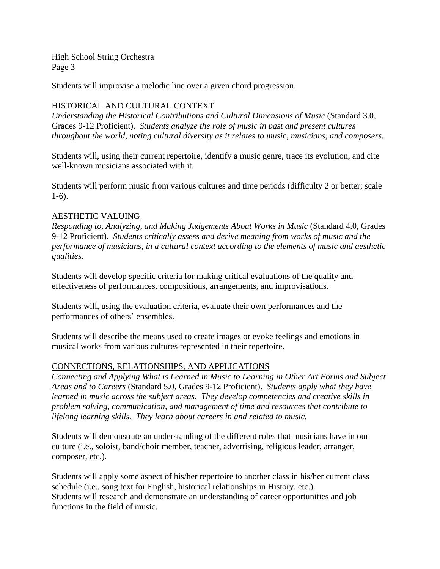Students will improvise a melodic line over a given chord progression.

# HISTORICAL AND CULTURAL CONTEXT

*Understanding the Historical Contributions and Cultural Dimensions of Music* (Standard 3.0, Grades 9-12 Proficient). *Students analyze the role of music in past and present cultures throughout the world, noting cultural diversity as it relates to music, musicians, and composers.* 

Students will, using their current repertoire, identify a music genre, trace its evolution, and cite well-known musicians associated with it.

Students will perform music from various cultures and time periods (difficulty 2 or better; scale 1-6).

## AESTHETIC VALUING

*Responding to, Analyzing, and Making Judgements About Works in Music* (Standard 4.0, Grades 9-12 Proficient). *Students critically assess and derive meaning from works of music and the performance of musicians, in a cultural context according to the elements of music and aesthetic qualities.* 

Students will develop specific criteria for making critical evaluations of the quality and effectiveness of performances, compositions, arrangements, and improvisations.

Students will, using the evaluation criteria, evaluate their own performances and the performances of others' ensembles.

Students will describe the means used to create images or evoke feelings and emotions in musical works from various cultures represented in their repertoire.

# CONNECTIONS, RELATIONSHIPS, AND APPLICATIONS

*Connecting and Applying What is Learned in Music to Learning in Other Art Forms and Subject Areas and to Careers* (Standard 5.0, Grades 9-12 Proficient). *Students apply what they have learned in music across the subject areas. They develop competencies and creative skills in problem solving, communication, and management of time and resources that contribute to lifelong learning skills. They learn about careers in and related to music.* 

Students will demonstrate an understanding of the different roles that musicians have in our culture (i.e., soloist, band/choir member, teacher, advertising, religious leader, arranger, composer, etc.).

Students will apply some aspect of his/her repertoire to another class in his/her current class schedule (i.e., song text for English, historical relationships in History, etc.). Students will research and demonstrate an understanding of career opportunities and job functions in the field of music.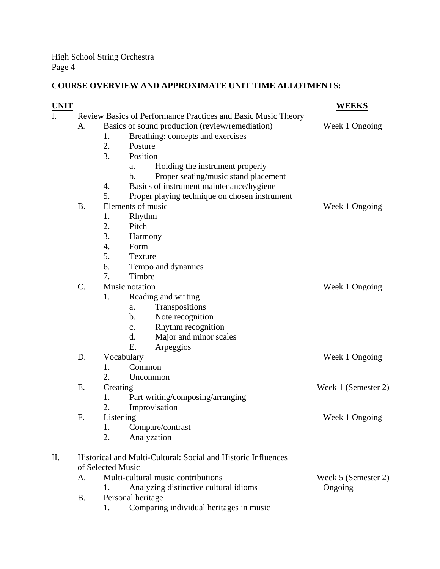# **COURSE OVERVIEW AND APPROXIMATE UNIT TIME ALLOTMENTS:**

| <b>UNIT</b> |                                                               |                                    |                                                       | <b>WEEKS</b>        |
|-------------|---------------------------------------------------------------|------------------------------------|-------------------------------------------------------|---------------------|
| I.          | Review Basics of Performance Practices and Basic Music Theory |                                    |                                                       |                     |
|             | A.                                                            |                                    | Basics of sound production (review/remediation)       | Week 1 Ongoing      |
|             |                                                               | 1.                                 | Breathing: concepts and exercises                     |                     |
|             |                                                               | 2.                                 | Posture                                               |                     |
|             |                                                               | 3.                                 | Position                                              |                     |
|             |                                                               |                                    | Holding the instrument properly<br>a.                 |                     |
|             |                                                               |                                    | Proper seating/music stand placement<br>$\mathbf b$ . |                     |
|             |                                                               | 4.                                 | Basics of instrument maintenance/hygiene              |                     |
|             |                                                               | 5.                                 | Proper playing technique on chosen instrument         |                     |
|             | <b>B.</b>                                                     |                                    | Elements of music                                     | Week 1 Ongoing      |
|             |                                                               | 1.                                 | Rhythm                                                |                     |
|             |                                                               | 2.                                 | Pitch                                                 |                     |
|             |                                                               | 3.                                 | Harmony                                               |                     |
|             |                                                               | 4.                                 | Form                                                  |                     |
|             |                                                               | 5.                                 | Texture                                               |                     |
|             |                                                               | 6.                                 | Tempo and dynamics                                    |                     |
|             |                                                               | 7.                                 | Timbre                                                |                     |
|             | $\mathcal{C}$ .                                               |                                    | Music notation                                        | Week 1 Ongoing      |
|             |                                                               | 1.                                 | Reading and writing                                   |                     |
|             |                                                               |                                    | Transpositions<br>a.                                  |                     |
|             |                                                               |                                    | $\mathbf b$ .<br>Note recognition                     |                     |
|             |                                                               |                                    | Rhythm recognition<br>$C_{\bullet}$                   |                     |
|             |                                                               |                                    | d.<br>Major and minor scales                          |                     |
|             |                                                               |                                    | E.<br>Arpeggios                                       |                     |
|             | D.                                                            | Vocabulary                         |                                                       | Week 1 Ongoing      |
|             |                                                               | 1.                                 | Common                                                |                     |
|             |                                                               | 2.                                 | Uncommon                                              |                     |
|             | Ε.                                                            | Creating                           |                                                       | Week 1 (Semester 2) |
|             |                                                               | 1.                                 | Part writing/composing/arranging                      |                     |
|             |                                                               | 2.                                 | Improvisation                                         |                     |
|             | F.                                                            | Listening                          |                                                       | Week 1 Ongoing      |
|             |                                                               | 1.                                 | Compare/contrast                                      |                     |
|             |                                                               | 2.                                 | Analyzation                                           |                     |
| П.          | Historical and Multi-Cultural: Social and Historic Influences |                                    |                                                       |                     |
|             | of Selected Music                                             |                                    |                                                       |                     |
|             | А.                                                            | Multi-cultural music contributions |                                                       | Week 5 (Semester 2) |
|             |                                                               | 1.                                 | Analyzing distinctive cultural idioms                 | Ongoing             |
|             | <b>B.</b>                                                     |                                    | Personal heritage                                     |                     |
|             |                                                               | 1.                                 | Comparing individual heritages in music               |                     |